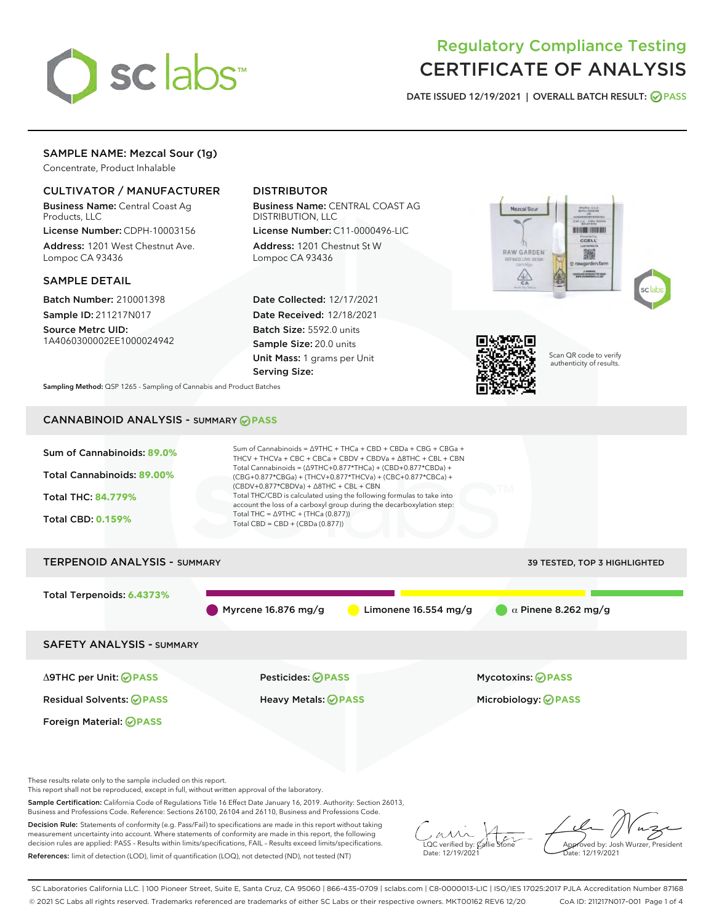

# Regulatory Compliance Testing CERTIFICATE OF ANALYSIS

DATE ISSUED 12/19/2021 | OVERALL BATCH RESULT: @ PASS

# SAMPLE NAME: Mezcal Sour (1g)

Concentrate, Product Inhalable

# CULTIVATOR / MANUFACTURER

Business Name: Central Coast Ag Products, LLC

License Number: CDPH-10003156 Address: 1201 West Chestnut Ave. Lompoc CA 93436

## SAMPLE DETAIL

Batch Number: 210001398 Sample ID: 211217N017

Source Metrc UID: 1A4060300002EE1000024942

# DISTRIBUTOR

Business Name: CENTRAL COAST AG DISTRIBUTION, LLC

License Number: C11-0000496-LIC Address: 1201 Chestnut St W Lompoc CA 93436

Date Collected: 12/17/2021 Date Received: 12/18/2021 Batch Size: 5592.0 units Sample Size: 20.0 units Unit Mass: 1 grams per Unit Serving Size:







Scan QR code to verify authenticity of results.

Sampling Method: QSP 1265 - Sampling of Cannabis and Product Batches

# CANNABINOID ANALYSIS - SUMMARY **PASS**



Sample Certification: California Code of Regulations Title 16 Effect Date January 16, 2019. Authority: Section 26013, Business and Professions Code. Reference: Sections 26100, 26104 and 26110, Business and Professions Code.

Decision Rule: Statements of conformity (e.g. Pass/Fail) to specifications are made in this report without taking measurement uncertainty into account. Where statements of conformity are made in this report, the following decision rules are applied: PASS – Results within limits/specifications, FAIL – Results exceed limits/specifications. References: limit of detection (LOD), limit of quantification (LOQ), not detected (ND), not tested (NT)

 $\overline{\text{LOC}}$  verified by:  $\mathcal{C}_i$ Date: 12/19/2021

Approved by: Josh Wurzer, President ate: 12/19/2021

SC Laboratories California LLC. | 100 Pioneer Street, Suite E, Santa Cruz, CA 95060 | 866-435-0709 | sclabs.com | C8-0000013-LIC | ISO/IES 17025:2017 PJLA Accreditation Number 87168 © 2021 SC Labs all rights reserved. Trademarks referenced are trademarks of either SC Labs or their respective owners. MKT00162 REV6 12/20 CoA ID: 211217N017-001 Page 1 of 4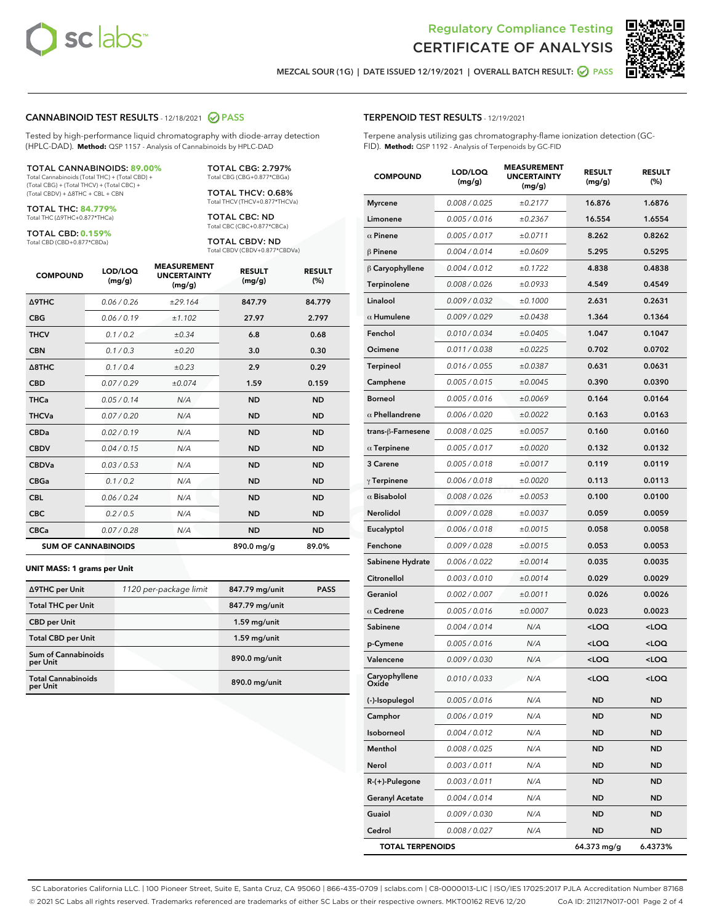



MEZCAL SOUR (1G) | DATE ISSUED 12/19/2021 | OVERALL BATCH RESULT: ◯ PASS

### CANNABINOID TEST RESULTS - 12/18/2021 2 PASS

Tested by high-performance liquid chromatography with diode-array detection (HPLC-DAD). **Method:** QSP 1157 - Analysis of Cannabinoids by HPLC-DAD

#### TOTAL CANNABINOIDS: **89.00%**

Total Cannabinoids (Total THC) + (Total CBD) + (Total CBG) + (Total THCV) + (Total CBC) + (Total CBDV) + ∆8THC + CBL + CBN

TOTAL THC: **84.779%** Total THC (∆9THC+0.877\*THCa)

TOTAL CBD: **0.159%**

Total CBD (CBD+0.877\*CBDa)

TOTAL CBG: 2.797% Total CBG (CBG+0.877\*CBGa)

TOTAL THCV: 0.68% Total THCV (THCV+0.877\*THCVa)

TOTAL CBC: ND Total CBC (CBC+0.877\*CBCa)

TOTAL CBDV: ND Total CBDV (CBDV+0.877\*CBDVa)

| <b>COMPOUND</b>            | LOD/LOQ<br>(mg/g) | <b>MEASUREMENT</b><br><b>UNCERTAINTY</b><br>(mg/g) | <b>RESULT</b><br>(mg/g) | <b>RESULT</b><br>(% ) |
|----------------------------|-------------------|----------------------------------------------------|-------------------------|-----------------------|
| <b>A9THC</b>               | 0.06/0.26         | ±29.164                                            | 847.79                  | 84.779                |
| <b>CBG</b>                 | 0.06/0.19         | ±1.102                                             | 27.97                   | 2.797                 |
| <b>THCV</b>                | 0.1 / 0.2         | $\pm 0.34$                                         | 6.8                     | 0.68                  |
| <b>CBN</b>                 | 0.1/0.3           | ±0.20                                              | 3.0                     | 0.30                  |
| $\triangle$ 8THC           | 0.1 / 0.4         | ±0.23                                              | 2.9                     | 0.29                  |
| <b>CBD</b>                 | 0.07/0.29         | ±0.074                                             | 1.59                    | 0.159                 |
| <b>THCa</b>                | 0.05/0.14         | N/A                                                | <b>ND</b>               | <b>ND</b>             |
| <b>THCVa</b>               | 0.07 / 0.20       | N/A                                                | <b>ND</b>               | <b>ND</b>             |
| <b>CBDa</b>                | 0.02/0.19         | N/A                                                | <b>ND</b>               | <b>ND</b>             |
| <b>CBDV</b>                | 0.04 / 0.15       | N/A                                                | <b>ND</b>               | <b>ND</b>             |
| <b>CBDVa</b>               | 0.03 / 0.53       | N/A                                                | <b>ND</b>               | <b>ND</b>             |
| <b>CBGa</b>                | 0.1 / 0.2         | N/A                                                | <b>ND</b>               | <b>ND</b>             |
| <b>CBL</b>                 | 0.06 / 0.24       | N/A                                                | <b>ND</b>               | <b>ND</b>             |
| <b>CBC</b>                 | 0.2 / 0.5         | N/A                                                | <b>ND</b>               | <b>ND</b>             |
| <b>CBCa</b>                | 0.07/0.28         | N/A                                                | <b>ND</b>               | <b>ND</b>             |
| <b>SUM OF CANNABINOIDS</b> |                   |                                                    | 890.0 mg/g              | 89.0%                 |

#### **UNIT MASS: 1 grams per Unit**

| ∆9THC per Unit                         | 1120 per-package limit | 847.79 mg/unit | <b>PASS</b> |
|----------------------------------------|------------------------|----------------|-------------|
| <b>Total THC per Unit</b>              |                        | 847.79 mg/unit |             |
| <b>CBD</b> per Unit                    |                        | $1.59$ mg/unit |             |
| <b>Total CBD per Unit</b>              |                        | $1.59$ mg/unit |             |
| <b>Sum of Cannabinoids</b><br>per Unit |                        | 890.0 mg/unit  |             |
| <b>Total Cannabinoids</b><br>per Unit  |                        | 890.0 mg/unit  |             |

| <b>COMPOUND</b>           | LOD/LOQ<br>(mg/g) | <b>MEASUREMENT</b><br><b>UNCERTAINTY</b><br>(mg/g) | <b>RESULT</b><br>(mg/g)                         | <b>RESULT</b><br>(%) |
|---------------------------|-------------------|----------------------------------------------------|-------------------------------------------------|----------------------|
| <b>Myrcene</b>            | 0.008 / 0.025     | ±0.2177                                            | 16.876                                          | 1.6876               |
| Limonene                  | 0.005 / 0.016     | ±0.2367                                            | 16.554                                          | 1.6554               |
| $\alpha$ Pinene           | 0.005 / 0.017     | ±0.0711                                            | 8.262                                           | 0.8262               |
| $\beta$ Pinene            | 0.004 / 0.014     | ±0.0609                                            | 5.295                                           | 0.5295               |
| $\beta$ Caryophyllene     | 0.004 / 0.012     | ±0.1722                                            | 4.838                                           | 0.4838               |
| Terpinolene               | 0.008 / 0.026     | ±0.0933                                            | 4.549                                           | 0.4549               |
| Linalool                  | 0.009 / 0.032     | ±0.1000                                            | 2.631                                           | 0.2631               |
| $\alpha$ Humulene         | 0.009 / 0.029     | ±0.0438                                            | 1.364                                           | 0.1364               |
| Fenchol                   | 0.010 / 0.034     | ±0.0405                                            | 1.047                                           | 0.1047               |
| Ocimene                   | 0.011 / 0.038     | ±0.0225                                            | 0.702                                           | 0.0702               |
| <b>Terpineol</b>          | 0.016 / 0.055     | ±0.0387                                            | 0.631                                           | 0.0631               |
| Camphene                  | 0.005 / 0.015     | ±0.0045                                            | 0.390                                           | 0.0390               |
| <b>Borneol</b>            | 0.005 / 0.016     | ±0.0069                                            | 0.164                                           | 0.0164               |
| $\alpha$ Phellandrene     | 0.006 / 0.020     | ±0.0022                                            | 0.163                                           | 0.0163               |
| trans- $\beta$ -Farnesene | 0.008 / 0.025     | ±0.0057                                            | 0.160                                           | 0.0160               |
| $\alpha$ Terpinene        | 0.005 / 0.017     | ±0.0020                                            | 0.132                                           | 0.0132               |
| 3 Carene                  | 0.005 / 0.018     | ±0.0017                                            | 0.119                                           | 0.0119               |
| $\gamma$ Terpinene        | 0.006 / 0.018     | ±0.0020                                            | 0.113                                           | 0.0113               |
| $\alpha$ Bisabolol        | 0.008 / 0.026     | ±0.0053                                            | 0.100                                           | 0.0100               |
| Nerolidol                 | 0.009 / 0.028     | ±0.0037                                            | 0.059                                           | 0.0059               |
| Eucalyptol                | 0.006 / 0.018     | ±0.0015                                            | 0.058                                           | 0.0058               |
| Fenchone                  | 0.009 / 0.028     | ±0.0015                                            | 0.053                                           | 0.0053               |
| Sabinene Hydrate          | 0.006 / 0.022     | ±0.0014                                            | 0.035                                           | 0.0035               |
| Citronellol               | 0.003 / 0.010     | ±0.0014                                            | 0.029                                           | 0.0029               |
| Geraniol                  | 0.002 / 0.007     | ±0.0011                                            | 0.026                                           | 0.0026               |
| $\alpha$ Cedrene          | 0.005 / 0.016     | ±0.0007                                            | 0.023                                           | 0.0023               |
| Sabinene                  | 0.004 / 0.014     | N/A                                                | <loq< th=""><th><loq< th=""></loq<></th></loq<> | <loq< th=""></loq<>  |
| p-Cymene                  | 0.005 / 0.016     | N/A                                                | <loq< th=""><th><loq< th=""></loq<></th></loq<> | <loq< th=""></loq<>  |
| Valencene                 | 0.009 / 0.030     | N/A                                                | <loq< th=""><th><loq< th=""></loq<></th></loq<> | <loq< th=""></loq<>  |
| Caryophyllene             | 0.010 / 0.033     | N/A                                                | <loq< th=""><th><loq< th=""></loq<></th></loq<> | <loq< th=""></loq<>  |
| (-)-Isopulegol            | 0.005 / 0.016     | N/A                                                | ND                                              | <b>ND</b>            |
| Camphor                   | 0.006 / 0.019     | N/A                                                | <b>ND</b>                                       | ND                   |
| Isoborneol                | 0.004 / 0.012     | N/A                                                | ND                                              | ND                   |
| Menthol                   | 0.008 / 0.025     | N/A                                                | ND                                              | ND                   |
| Nerol                     | 0.003 / 0.011     | N/A                                                | ND                                              | ND                   |
| R-(+)-Pulegone            | 0.003 / 0.011     | N/A                                                | ND                                              | ND                   |
| <b>Geranyl Acetate</b>    | 0.004 / 0.014     | N/A                                                | ND                                              | ND                   |
| Guaiol                    | 0.009 / 0.030     | N/A                                                | ND                                              | ND                   |
| Cedrol                    | 0.008 / 0.027     | N/A                                                | ND                                              | ND                   |
| <b>TOTAL TERPENOIDS</b>   |                   |                                                    | 64.373 mg/g                                     | 6.4373%              |

SC Laboratories California LLC. | 100 Pioneer Street, Suite E, Santa Cruz, CA 95060 | 866-435-0709 | sclabs.com | C8-0000013-LIC | ISO/IES 17025:2017 PJLA Accreditation Number 87168 © 2021 SC Labs all rights reserved. Trademarks referenced are trademarks of either SC Labs or their respective owners. MKT00162 REV6 12/20 CoA ID: 211217N017-001 Page 2 of 4

# TERPENOID TEST RESULTS - 12/19/2021

Terpene analysis utilizing gas chromatography-flame ionization detection (GC-FID). **Method:** QSP 1192 - Analysis of Terpenoids by GC-FID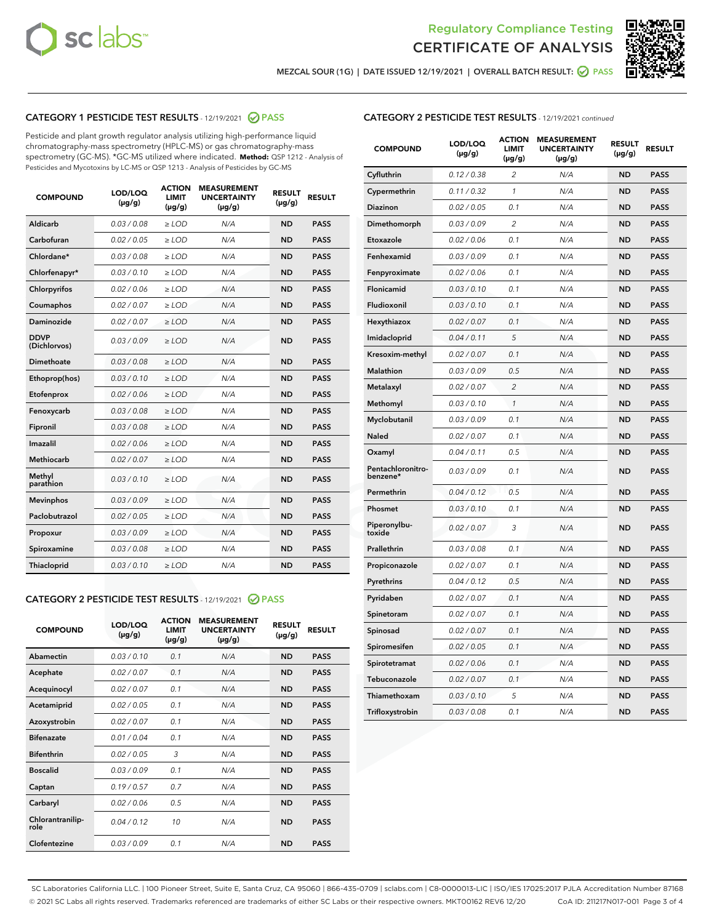



MEZCAL SOUR (1G) | DATE ISSUED 12/19/2021 | OVERALL BATCH RESULT: ● PASS

# CATEGORY 1 PESTICIDE TEST RESULTS - 12/19/2021 2 PASS

Pesticide and plant growth regulator analysis utilizing high-performance liquid chromatography-mass spectrometry (HPLC-MS) or gas chromatography-mass spectrometry (GC-MS). \*GC-MS utilized where indicated. **Method:** QSP 1212 - Analysis of Pesticides and Mycotoxins by LC-MS or QSP 1213 - Analysis of Pesticides by GC-MS

| <b>COMPOUND</b>             | LOD/LOQ<br>$(\mu g/g)$ | <b>ACTION</b><br><b>LIMIT</b><br>$(\mu g/g)$ | <b>MEASUREMENT</b><br><b>UNCERTAINTY</b><br>$(\mu g/g)$ | <b>RESULT</b><br>$(\mu g/g)$ | <b>RESULT</b> |
|-----------------------------|------------------------|----------------------------------------------|---------------------------------------------------------|------------------------------|---------------|
| Aldicarb                    | 0.03 / 0.08            | $\ge$ LOD                                    | N/A                                                     | <b>ND</b>                    | <b>PASS</b>   |
| Carbofuran                  | 0.02/0.05              | $>$ LOD                                      | N/A                                                     | <b>ND</b>                    | <b>PASS</b>   |
| Chlordane*                  | 0.03 / 0.08            | $\ge$ LOD                                    | N/A                                                     | <b>ND</b>                    | <b>PASS</b>   |
| Chlorfenapyr*               | 0.03/0.10              | $>$ LOD                                      | N/A                                                     | <b>ND</b>                    | <b>PASS</b>   |
| Chlorpyrifos                | 0.02 / 0.06            | $\ge$ LOD                                    | N/A                                                     | <b>ND</b>                    | <b>PASS</b>   |
| Coumaphos                   | 0.02 / 0.07            | $\ge$ LOD                                    | N/A                                                     | <b>ND</b>                    | <b>PASS</b>   |
| Daminozide                  | 0.02 / 0.07            | $\ge$ LOD                                    | N/A                                                     | <b>ND</b>                    | <b>PASS</b>   |
| <b>DDVP</b><br>(Dichlorvos) | 0.03/0.09              | $\ge$ LOD                                    | N/A                                                     | <b>ND</b>                    | <b>PASS</b>   |
| Dimethoate                  | 0.03/0.08              | $>$ LOD                                      | N/A                                                     | <b>ND</b>                    | <b>PASS</b>   |
| Ethoprop(hos)               | 0.03/0.10              | $\ge$ LOD                                    | N/A                                                     | <b>ND</b>                    | <b>PASS</b>   |
| Etofenprox                  | 0.02 / 0.06            | $\ge$ LOD                                    | N/A                                                     | <b>ND</b>                    | <b>PASS</b>   |
| Fenoxycarb                  | 0.03 / 0.08            | $\ge$ LOD                                    | N/A                                                     | <b>ND</b>                    | <b>PASS</b>   |
| Fipronil                    | 0.03/0.08              | $>$ LOD                                      | N/A                                                     | <b>ND</b>                    | <b>PASS</b>   |
| Imazalil                    | 0.02 / 0.06            | $\ge$ LOD                                    | N/A                                                     | <b>ND</b>                    | <b>PASS</b>   |
| Methiocarb                  | 0.02 / 0.07            | $\ge$ LOD                                    | N/A                                                     | <b>ND</b>                    | <b>PASS</b>   |
| Methyl<br>parathion         | 0.03/0.10              | $\ge$ LOD                                    | N/A                                                     | <b>ND</b>                    | <b>PASS</b>   |
| <b>Mevinphos</b>            | 0.03/0.09              | $>$ LOD                                      | N/A                                                     | <b>ND</b>                    | <b>PASS</b>   |
| Paclobutrazol               | 0.02 / 0.05            | $\ge$ LOD                                    | N/A                                                     | <b>ND</b>                    | <b>PASS</b>   |
| Propoxur                    | 0.03/0.09              | $\ge$ LOD                                    | N/A                                                     | <b>ND</b>                    | <b>PASS</b>   |
| Spiroxamine                 | 0.03 / 0.08            | $\ge$ LOD                                    | N/A                                                     | <b>ND</b>                    | <b>PASS</b>   |
| Thiacloprid                 | 0.03/0.10              | $\ge$ LOD                                    | N/A                                                     | <b>ND</b>                    | <b>PASS</b>   |

#### CATEGORY 2 PESTICIDE TEST RESULTS - 12/19/2021 @ PASS

| <b>COMPOUND</b>          | LOD/LOO<br>$(\mu g/g)$ | <b>ACTION</b><br>LIMIT<br>$(\mu g/g)$ | <b>MEASUREMENT</b><br><b>UNCERTAINTY</b><br>$(\mu g/g)$ | <b>RESULT</b><br>$(\mu g/g)$ | <b>RESULT</b> |  |
|--------------------------|------------------------|---------------------------------------|---------------------------------------------------------|------------------------------|---------------|--|
| Abamectin                | 0.03/0.10              | 0.1                                   | N/A                                                     | <b>ND</b>                    | <b>PASS</b>   |  |
| Acephate                 | 0.02/0.07              | 0.1                                   | N/A                                                     | <b>ND</b>                    | <b>PASS</b>   |  |
| Acequinocyl              | 0.02/0.07              | 0.1                                   | N/A                                                     | <b>ND</b>                    | <b>PASS</b>   |  |
| Acetamiprid              | 0.02 / 0.05            | 0.1                                   | N/A                                                     | <b>ND</b>                    | <b>PASS</b>   |  |
| Azoxystrobin             | 0.02/0.07              | 0.1                                   | N/A                                                     | <b>ND</b>                    | <b>PASS</b>   |  |
| <b>Bifenazate</b>        | 0.01 / 0.04            | 0.1                                   | N/A                                                     | <b>ND</b>                    | <b>PASS</b>   |  |
| <b>Bifenthrin</b>        | 0.02 / 0.05            | 3                                     | N/A                                                     | <b>ND</b>                    | <b>PASS</b>   |  |
| <b>Boscalid</b>          | 0.03/0.09              | 0.1                                   | N/A                                                     | <b>ND</b>                    | <b>PASS</b>   |  |
| Captan                   | 0.19/0.57              | 0.7                                   | N/A                                                     | <b>ND</b>                    | <b>PASS</b>   |  |
| Carbaryl                 | 0.02/0.06              | 0.5                                   | N/A                                                     | <b>ND</b>                    | <b>PASS</b>   |  |
| Chlorantranilip-<br>role | 0.04/0.12              | 10                                    | N/A                                                     | <b>ND</b>                    | <b>PASS</b>   |  |
| Clofentezine             | 0.03/0.09              | 0.1                                   | N/A                                                     | <b>ND</b>                    | <b>PASS</b>   |  |

# CATEGORY 2 PESTICIDE TEST RESULTS - 12/19/2021 continued

| <b>COMPOUND</b>               | LOD/LOQ<br>$(\mu g/g)$ | <b>ACTION</b><br>LIMIT<br>(µg/g) | <b>MEASUREMENT</b><br><b>UNCERTAINTY</b><br>$(\mu g/g)$ | <b>RESULT</b><br>(µg/g) | <b>RESULT</b> |
|-------------------------------|------------------------|----------------------------------|---------------------------------------------------------|-------------------------|---------------|
| Cyfluthrin                    | 0.12 / 0.38            | $\overline{2}$                   | N/A                                                     | <b>ND</b>               | <b>PASS</b>   |
| Cypermethrin                  | 0.11 / 0.32            | 1                                | N/A                                                     | ND                      | <b>PASS</b>   |
| Diazinon                      | 0.02 / 0.05            | 0.1                              | N/A                                                     | <b>ND</b>               | <b>PASS</b>   |
| Dimethomorph                  | 0.03 / 0.09            | $\overline{\mathcal{L}}$         | N/A                                                     | ND                      | <b>PASS</b>   |
| Etoxazole                     | 0.02 / 0.06            | 0.1                              | N/A                                                     | <b>ND</b>               | <b>PASS</b>   |
| Fenhexamid                    | 0.03 / 0.09            | 0.1                              | N/A                                                     | <b>ND</b>               | <b>PASS</b>   |
| Fenpyroximate                 | 0.02 / 0.06            | 0.1                              | N/A                                                     | <b>ND</b>               | <b>PASS</b>   |
| Flonicamid                    | 0.03 / 0.10            | 0.1                              | N/A                                                     | <b>ND</b>               | <b>PASS</b>   |
| Fludioxonil                   | 0.03 / 0.10            | 0.1                              | N/A                                                     | <b>ND</b>               | <b>PASS</b>   |
| Hexythiazox                   | 0.02 / 0.07            | 0.1                              | N/A                                                     | <b>ND</b>               | <b>PASS</b>   |
| Imidacloprid                  | 0.04 / 0.11            | 5                                | N/A                                                     | <b>ND</b>               | <b>PASS</b>   |
| Kresoxim-methyl               | 0.02 / 0.07            | 0.1                              | N/A                                                     | <b>ND</b>               | <b>PASS</b>   |
| Malathion                     | 0.03 / 0.09            | 0.5                              | N/A                                                     | ND                      | <b>PASS</b>   |
| Metalaxyl                     | 0.02 / 0.07            | $\overline{c}$                   | N/A                                                     | ND                      | <b>PASS</b>   |
| Methomyl                      | 0.03 / 0.10            | $\mathbf{1}$                     | N/A                                                     | <b>ND</b>               | <b>PASS</b>   |
| Myclobutanil                  | 0.03 / 0.09            | 0.1                              | N/A                                                     | <b>ND</b>               | <b>PASS</b>   |
| Naled                         | 0.02 / 0.07            | 0.1                              | N/A                                                     | ND                      | <b>PASS</b>   |
| Oxamyl                        | 0.04 / 0.11            | 0.5                              | N/A                                                     | ND                      | <b>PASS</b>   |
| Pentachloronitro-<br>benzene* | 0.03 / 0.09            | 0.1                              | N/A                                                     | ND                      | <b>PASS</b>   |
| Permethrin                    | 0.04 / 0.12            | 0.5                              | N/A                                                     | <b>ND</b>               | <b>PASS</b>   |
| Phosmet                       | 0.03 / 0.10            | 0.1                              | N/A                                                     | ND                      | <b>PASS</b>   |
| Piperonylbu-<br>toxide        | 0.02 / 0.07            | 3                                | N/A                                                     | ND                      | <b>PASS</b>   |
| Prallethrin                   | 0.03 / 0.08            | 0.1                              | N/A                                                     | <b>ND</b>               | <b>PASS</b>   |
| Propiconazole                 | 0.02 / 0.07            | 0.1                              | N/A                                                     | <b>ND</b>               | <b>PASS</b>   |
| Pyrethrins                    | 0.04 / 0.12            | 0.5                              | N/A                                                     | ND                      | <b>PASS</b>   |
| Pyridaben                     | 0.02 / 0.07            | 0.1                              | N/A                                                     | ND                      | <b>PASS</b>   |
| Spinetoram                    | 0.02 / 0.07            | 0.1                              | N/A                                                     | ND                      | <b>PASS</b>   |
| Spinosad                      | 0.02 / 0.07            | 0.1                              | N/A                                                     | <b>ND</b>               | <b>PASS</b>   |
| Spiromesifen                  | 0.02 / 0.05            | 0.1                              | N/A                                                     | ND                      | <b>PASS</b>   |
| Spirotetramat                 | 0.02 / 0.06            | 0.1                              | N/A                                                     | <b>ND</b>               | <b>PASS</b>   |
| Tebuconazole                  | 0.02 / 0.07            | 0.1                              | N/A                                                     | ND                      | <b>PASS</b>   |
| Thiamethoxam                  | 0.03 / 0.10            | 5                                | N/A                                                     | <b>ND</b>               | <b>PASS</b>   |
| Trifloxystrobin               | 0.03 / 0.08            | 0.1                              | N/A                                                     | <b>ND</b>               | <b>PASS</b>   |

SC Laboratories California LLC. | 100 Pioneer Street, Suite E, Santa Cruz, CA 95060 | 866-435-0709 | sclabs.com | C8-0000013-LIC | ISO/IES 17025:2017 PJLA Accreditation Number 87168 © 2021 SC Labs all rights reserved. Trademarks referenced are trademarks of either SC Labs or their respective owners. MKT00162 REV6 12/20 CoA ID: 211217N017-001 Page 3 of 4